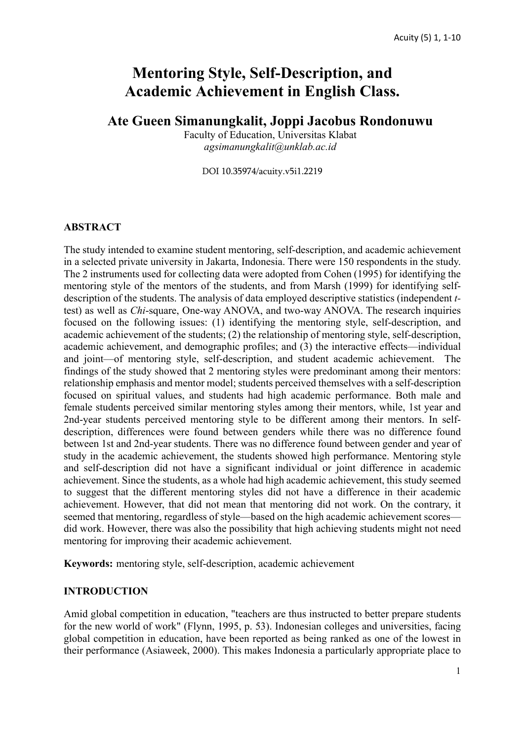# **Mentoring Style, Self-Description, and Academic Achievement in English Class.**

## **Ate Gueen Simanungkalit, Joppi Jacobus Rondonuwu**

Faculty of Education, Universitas Klabat *agsimanungkalit@unklab.ac.id*

DOI 10.35974/acuity.v5i1.2219

#### **ABSTRACT**

The study intended to examine student mentoring, self-description, and academic achievement in a selected private university in Jakarta, Indonesia. There were 150 respondents in the study. The 2 instruments used for collecting data were adopted from Cohen (1995) for identifying the mentoring style of the mentors of the students, and from Marsh (1999) for identifying selfdescription of the students. The analysis of data employed descriptive statistics (independent *t*test) as well as *Chi*-square, One-way ANOVA, and two-way ANOVA. The research inquiries focused on the following issues: (1) identifying the mentoring style, self-description, and academic achievement of the students; (2) the relationship of mentoring style, self-description, academic achievement, and demographic profiles; and (3) the interactive effects—individual and joint—of mentoring style, self-description, and student academic achievement. The findings of the study showed that 2 mentoring styles were predominant among their mentors: relationship emphasis and mentor model; students perceived themselves with a self-description focused on spiritual values, and students had high academic performance. Both male and female students perceived similar mentoring styles among their mentors, while, 1st year and 2nd-year students perceived mentoring style to be different among their mentors. In selfdescription, differences were found between genders while there was no difference found between 1st and 2nd-year students. There was no difference found between gender and year of study in the academic achievement, the students showed high performance. Mentoring style and self-description did not have a significant individual or joint difference in academic achievement. Since the students, as a whole had high academic achievement, this study seemed to suggest that the different mentoring styles did not have a difference in their academic achievement. However, that did not mean that mentoring did not work. On the contrary, it seemed that mentoring, regardless of style—based on the high academic achievement scores did work. However, there was also the possibility that high achieving students might not need mentoring for improving their academic achievement.

**Keywords:** mentoring style, self-description, academic achievement

## **INTRODUCTION**

Amid global competition in education, "teachers are thus instructed to better prepare students for the new world of work" (Flynn, 1995, p. 53). Indonesian colleges and universities, facing global competition in education, have been reported as being ranked as one of the lowest in their performance (Asiaweek, 2000). This makes Indonesia a particularly appropriate place to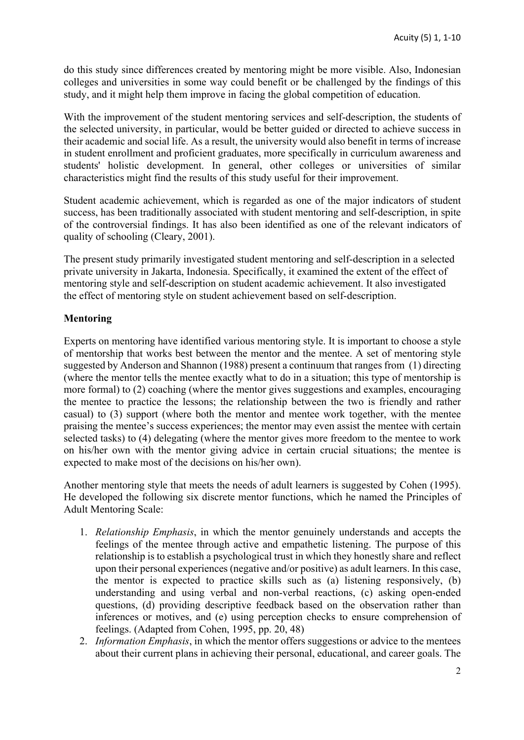do this study since differences created by mentoring might be more visible. Also, Indonesian colleges and universities in some way could benefit or be challenged by the findings of this study, and it might help them improve in facing the global competition of education.

With the improvement of the student mentoring services and self-description, the students of the selected university, in particular, would be better guided or directed to achieve success in their academic and social life. As a result, the university would also benefit in terms of increase in student enrollment and proficient graduates, more specifically in curriculum awareness and students' holistic development. In general, other colleges or universities of similar characteristics might find the results of this study useful for their improvement.

Student academic achievement, which is regarded as one of the major indicators of student success, has been traditionally associated with student mentoring and self-description, in spite of the controversial findings. It has also been identified as one of the relevant indicators of quality of schooling (Cleary, 2001).

The present study primarily investigated student mentoring and self-description in a selected private university in Jakarta, Indonesia. Specifically, it examined the extent of the effect of mentoring style and self-description on student academic achievement. It also investigated the effect of mentoring style on student achievement based on self-description.

## **Mentoring**

Experts on mentoring have identified various mentoring style. It is important to choose a style of mentorship that works best between the mentor and the mentee. A set of mentoring style suggested by Anderson and Shannon (1988) present a continuum that ranges from (1) directing (where the mentor tells the mentee exactly what to do in a situation; this type of mentorship is more formal) to (2) coaching (where the mentor gives suggestions and examples, encouraging the mentee to practice the lessons; the relationship between the two is friendly and rather casual) to (3) support (where both the mentor and mentee work together, with the mentee praising the mentee's success experiences; the mentor may even assist the mentee with certain selected tasks) to (4) delegating (where the mentor gives more freedom to the mentee to work on his/her own with the mentor giving advice in certain crucial situations; the mentee is expected to make most of the decisions on his/her own).

Another mentoring style that meets the needs of adult learners is suggested by Cohen (1995). He developed the following six discrete mentor functions, which he named the Principles of Adult Mentoring Scale:

- 1. *Relationship Emphasis*, in which the mentor genuinely understands and accepts the feelings of the mentee through active and empathetic listening. The purpose of this relationship is to establish a psychological trust in which they honestly share and reflect upon their personal experiences (negative and/or positive) as adult learners. In this case, the mentor is expected to practice skills such as (a) listening responsively, (b) understanding and using verbal and non-verbal reactions, (c) asking open-ended questions, (d) providing descriptive feedback based on the observation rather than inferences or motives, and (e) using perception checks to ensure comprehension of feelings. (Adapted from Cohen, 1995, pp. 20, 48)
- 2. *Information Emphasis*, in which the mentor offers suggestions or advice to the mentees about their current plans in achieving their personal, educational, and career goals. The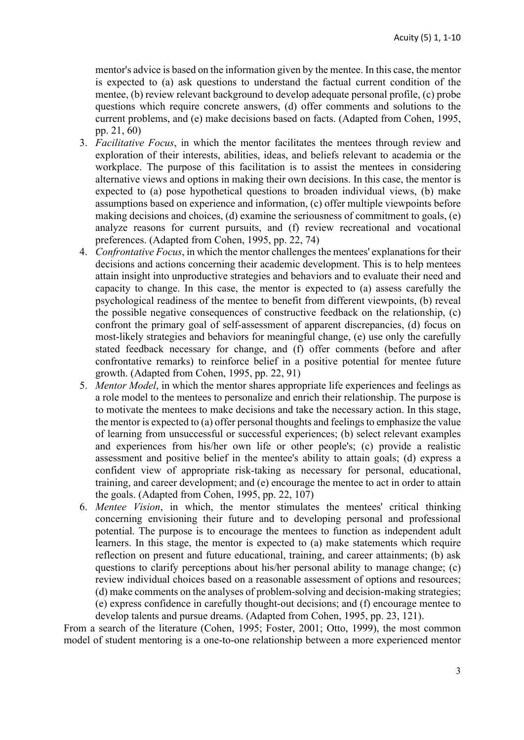mentor's advice is based on the information given by the mentee. In this case, the mentor is expected to (a) ask questions to understand the factual current condition of the mentee, (b) review relevant background to develop adequate personal profile, (c) probe questions which require concrete answers, (d) offer comments and solutions to the current problems, and (e) make decisions based on facts. (Adapted from Cohen, 1995, pp. 21, 60)

- 3. *Facilitative Focus*, in which the mentor facilitates the mentees through review and exploration of their interests, abilities, ideas, and beliefs relevant to academia or the workplace. The purpose of this facilitation is to assist the mentees in considering alternative views and options in making their own decisions. In this case, the mentor is expected to (a) pose hypothetical questions to broaden individual views, (b) make assumptions based on experience and information, (c) offer multiple viewpoints before making decisions and choices, (d) examine the seriousness of commitment to goals, (e) analyze reasons for current pursuits, and (f) review recreational and vocational preferences. (Adapted from Cohen, 1995, pp. 22, 74)
- 4. *Confrontative Focus*, in which the mentor challenges the mentees' explanations for their decisions and actions concerning their academic development. This is to help mentees attain insight into unproductive strategies and behaviors and to evaluate their need and capacity to change. In this case, the mentor is expected to (a) assess carefully the psychological readiness of the mentee to benefit from different viewpoints, (b) reveal the possible negative consequences of constructive feedback on the relationship, (c) confront the primary goal of self-assessment of apparent discrepancies, (d) focus on most-likely strategies and behaviors for meaningful change, (e) use only the carefully stated feedback necessary for change, and (f) offer comments (before and after confrontative remarks) to reinforce belief in a positive potential for mentee future growth. (Adapted from Cohen, 1995, pp. 22, 91)
- 5. *Mentor Model*, in which the mentor shares appropriate life experiences and feelings as a role model to the mentees to personalize and enrich their relationship. The purpose is to motivate the mentees to make decisions and take the necessary action. In this stage, the mentor is expected to (a) offer personal thoughts and feelings to emphasize the value of learning from unsuccessful or successful experiences; (b) select relevant examples and experiences from his/her own life or other people's; (c) provide a realistic assessment and positive belief in the mentee's ability to attain goals; (d) express a confident view of appropriate risk-taking as necessary for personal, educational, training, and career development; and (e) encourage the mentee to act in order to attain the goals. (Adapted from Cohen, 1995, pp. 22, 107)
- 6. *Mentee Vision*, in which, the mentor stimulates the mentees' critical thinking concerning envisioning their future and to developing personal and professional potential. The purpose is to encourage the mentees to function as independent adult learners. In this stage, the mentor is expected to (a) make statements which require reflection on present and future educational, training, and career attainments; (b) ask questions to clarify perceptions about his/her personal ability to manage change; (c) review individual choices based on a reasonable assessment of options and resources; (d) make comments on the analyses of problem-solving and decision-making strategies; (e) express confidence in carefully thought-out decisions; and (f) encourage mentee to develop talents and pursue dreams. (Adapted from Cohen, 1995, pp. 23, 121).

From a search of the literature (Cohen, 1995; Foster, 2001; Otto, 1999), the most common model of student mentoring is a one-to-one relationship between a more experienced mentor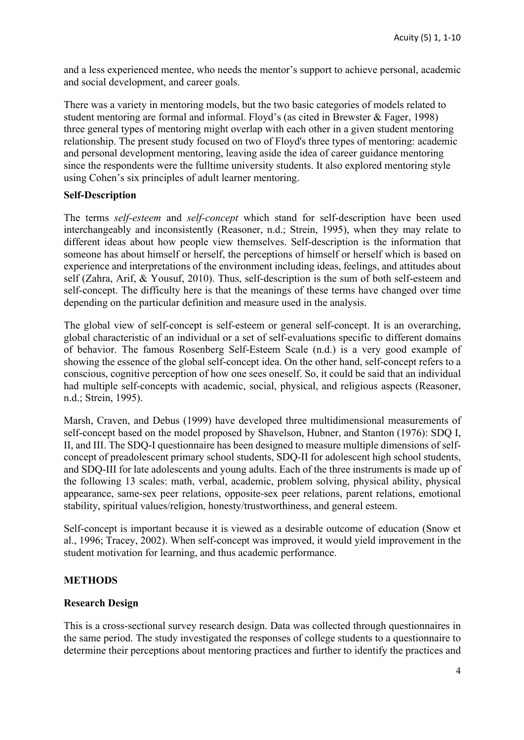and a less experienced mentee, who needs the mentor's support to achieve personal, academic and social development, and career goals.

There was a variety in mentoring models, but the two basic categories of models related to student mentoring are formal and informal. Floyd's (as cited in Brewster & Fager, 1998) three general types of mentoring might overlap with each other in a given student mentoring relationship. The present study focused on two of Floyd's three types of mentoring: academic and personal development mentoring, leaving aside the idea of career guidance mentoring since the respondents were the fulltime university students. It also explored mentoring style using Cohen's six principles of adult learner mentoring.

#### **Self-Description**

The terms *self-esteem* and *self-concept* which stand for self-description have been used interchangeably and inconsistently (Reasoner, n.d.; Strein, 1995), when they may relate to different ideas about how people view themselves. Self-description is the information that someone has about himself or herself, the perceptions of himself or herself which is based on experience and interpretations of the environment including ideas, feelings, and attitudes about self (Zahra, Arif, & Yousuf, 2010). Thus, self-description is the sum of both self-esteem and self-concept. The difficulty here is that the meanings of these terms have changed over time depending on the particular definition and measure used in the analysis.

The global view of self-concept is self-esteem or general self-concept. It is an overarching, global characteristic of an individual or a set of self-evaluations specific to different domains of behavior. The famous Rosenberg Self-Esteem Scale (n.d.) is a very good example of showing the essence of the global self-concept idea. On the other hand, self-concept refers to a conscious, cognitive perception of how one sees oneself. So, it could be said that an individual had multiple self-concepts with academic, social, physical, and religious aspects (Reasoner, n.d.; Strein, 1995).

Marsh, Craven, and Debus (1999) have developed three multidimensional measurements of self-concept based on the model proposed by Shavelson, Hubner, and Stanton (1976): SDQ I, II, and III. The SDQ-I questionnaire has been designed to measure multiple dimensions of selfconcept of preadolescent primary school students, SDQ-II for adolescent high school students, and SDQ-III for late adolescents and young adults. Each of the three instruments is made up of the following 13 scales: math, verbal, academic, problem solving, physical ability, physical appearance, same-sex peer relations, opposite-sex peer relations, parent relations, emotional stability, spiritual values/religion, honesty/trustworthiness, and general esteem.

Self-concept is important because it is viewed as a desirable outcome of education (Snow et al., 1996; Tracey, 2002). When self-concept was improved, it would yield improvement in the student motivation for learning, and thus academic performance.

## **METHODS**

#### **Research Design**

This is a cross-sectional survey research design. Data was collected through questionnaires in the same period. The study investigated the responses of college students to a questionnaire to determine their perceptions about mentoring practices and further to identify the practices and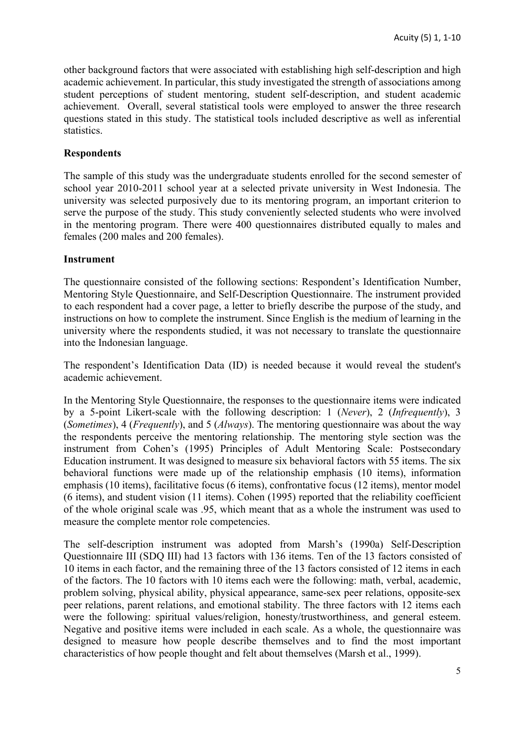other background factors that were associated with establishing high self-description and high academic achievement. In particular, this study investigated the strength of associations among student perceptions of student mentoring, student self-description, and student academic achievement. Overall, several statistical tools were employed to answer the three research questions stated in this study. The statistical tools included descriptive as well as inferential statistics.

## **Respondents**

The sample of this study was the undergraduate students enrolled for the second semester of school year 2010-2011 school year at a selected private university in West Indonesia. The university was selected purposively due to its mentoring program, an important criterion to serve the purpose of the study. This study conveniently selected students who were involved in the mentoring program. There were 400 questionnaires distributed equally to males and females (200 males and 200 females).

### **Instrument**

The questionnaire consisted of the following sections: Respondent's Identification Number, Mentoring Style Questionnaire, and Self-Description Questionnaire. The instrument provided to each respondent had a cover page, a letter to briefly describe the purpose of the study, and instructions on how to complete the instrument. Since English is the medium of learning in the university where the respondents studied, it was not necessary to translate the questionnaire into the Indonesian language.

The respondent's Identification Data (ID) is needed because it would reveal the student's academic achievement.

In the Mentoring Style Questionnaire, the responses to the questionnaire items were indicated by a 5-point Likert-scale with the following description: 1 (*Never*), 2 (*Infrequently*), 3 (*Sometimes*), 4 (*Frequently*), and 5 (*Always*). The mentoring questionnaire was about the way the respondents perceive the mentoring relationship. The mentoring style section was the instrument from Cohen's (1995) Principles of Adult Mentoring Scale: Postsecondary Education instrument. It was designed to measure six behavioral factors with 55 items. The six behavioral functions were made up of the relationship emphasis (10 items), information emphasis (10 items), facilitative focus (6 items), confrontative focus (12 items), mentor model (6 items), and student vision (11 items). Cohen (1995) reported that the reliability coefficient of the whole original scale was .95, which meant that as a whole the instrument was used to measure the complete mentor role competencies.

The self-description instrument was adopted from Marsh's (1990a) Self-Description Questionnaire III (SDQ III) had 13 factors with 136 items. Ten of the 13 factors consisted of 10 items in each factor, and the remaining three of the 13 factors consisted of 12 items in each of the factors. The 10 factors with 10 items each were the following: math, verbal, academic, problem solving, physical ability, physical appearance, same-sex peer relations, opposite-sex peer relations, parent relations, and emotional stability. The three factors with 12 items each were the following: spiritual values/religion, honesty/trustworthiness, and general esteem. Negative and positive items were included in each scale. As a whole, the questionnaire was designed to measure how people describe themselves and to find the most important characteristics of how people thought and felt about themselves (Marsh et al., 1999).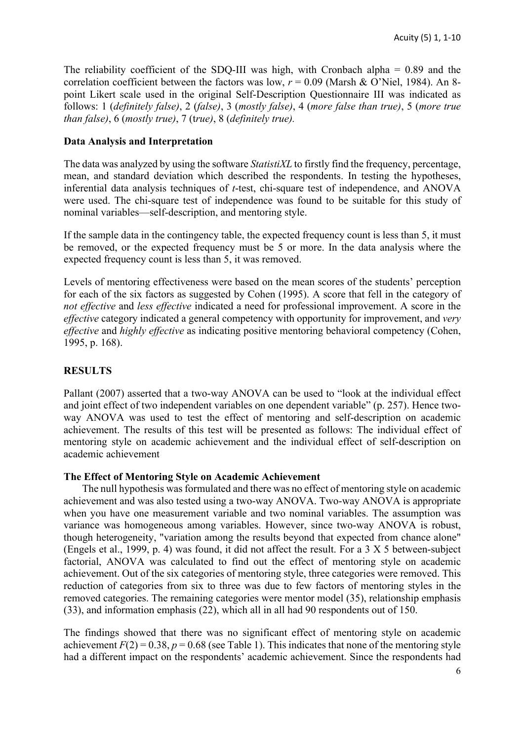The reliability coefficient of the SDQ-III was high, with Cronbach alpha  $= 0.89$  and the correlation coefficient between the factors was low,  $r = 0.09$  (Marsh & O'Niel, 1984). An 8point Likert scale used in the original Self-Description Questionnaire III was indicated as follows: 1 (*definitely false)*, 2 (*false)*, 3 (*mostly false)*, 4 (*more false than true)*, 5 (*more true than false)*, 6 (*mostly true)*, 7 (t*rue)*, 8 (*definitely true).*

#### **Data Analysis and Interpretation**

The data was analyzed by using the software *StatistiXL* to firstly find the frequency, percentage, mean, and standard deviation which described the respondents. In testing the hypotheses, inferential data analysis techniques of *t*-test, chi-square test of independence, and ANOVA were used. The chi-square test of independence was found to be suitable for this study of nominal variables—self-description, and mentoring style.

If the sample data in the contingency table, the expected frequency count is less than 5, it must be removed, or the expected frequency must be 5 or more. In the data analysis where the expected frequency count is less than 5, it was removed.

Levels of mentoring effectiveness were based on the mean scores of the students' perception for each of the six factors as suggested by Cohen (1995). A score that fell in the category of *not effective* and *less effective* indicated a need for professional improvement. A score in the *effective* category indicated a general competency with opportunity for improvement, and *very effective* and *highly effective* as indicating positive mentoring behavioral competency (Cohen, 1995, p. 168).

### **RESULTS**

Pallant (2007) asserted that a two-way ANOVA can be used to "look at the individual effect and joint effect of two independent variables on one dependent variable" (p. 257). Hence twoway ANOVA was used to test the effect of mentoring and self-description on academic achievement. The results of this test will be presented as follows: The individual effect of mentoring style on academic achievement and the individual effect of self-description on academic achievement

#### **The Effect of Mentoring Style on Academic Achievement**

The null hypothesis was formulated and there was no effect of mentoring style on academic achievement and was also tested using a two-way ANOVA. Two-way ANOVA is appropriate when you have one measurement variable and two nominal variables. The assumption was variance was homogeneous among variables. However, since two-way ANOVA is robust, though heterogeneity, "variation among the results beyond that expected from chance alone" (Engels et al., 1999, p. 4) was found, it did not affect the result. For a 3 X 5 between-subject factorial, ANOVA was calculated to find out the effect of mentoring style on academic achievement. Out of the six categories of mentoring style, three categories were removed. This reduction of categories from six to three was due to few factors of mentoring styles in the removed categories. The remaining categories were mentor model (35), relationship emphasis (33), and information emphasis (22), which all in all had 90 respondents out of 150.

The findings showed that there was no significant effect of mentoring style on academic achievement  $F(2) = 0.38$ ,  $p = 0.68$  (see Table 1). This indicates that none of the mentoring style had a different impact on the respondents' academic achievement. Since the respondents had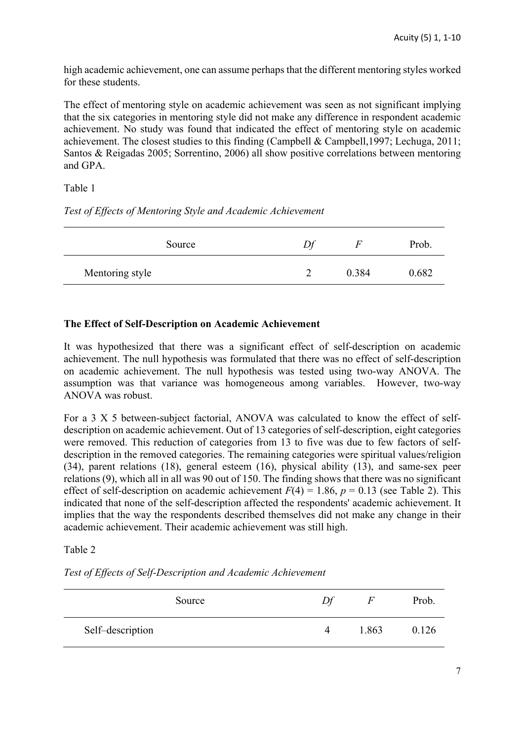high academic achievement, one can assume perhaps that the different mentoring styles worked for these students.

The effect of mentoring style on academic achievement was seen as not significant implying that the six categories in mentoring style did not make any difference in respondent academic achievement. No study was found that indicated the effect of mentoring style on academic achievement. The closest studies to this finding (Campbell & Campbell,1997; Lechuga, 2011; Santos & Reigadas 2005; Sorrentino, 2006) all show positive correlations between mentoring and GPA.

Table 1

*Test of Effects of Mentoring Style and Academic Achievement*

| Source          | н     | Prob. |
|-----------------|-------|-------|
| Mentoring style | 0.384 | 0.682 |

## **The Effect of Self-Description on Academic Achievement**

It was hypothesized that there was a significant effect of self-description on academic achievement. The null hypothesis was formulated that there was no effect of self-description on academic achievement. The null hypothesis was tested using two-way ANOVA. The assumption was that variance was homogeneous among variables. However, two-way ANOVA was robust.

For a 3 X 5 between-subject factorial, ANOVA was calculated to know the effect of selfdescription on academic achievement. Out of 13 categories of self-description, eight categories were removed. This reduction of categories from 13 to five was due to few factors of selfdescription in the removed categories. The remaining categories were spiritual values/religion (34), parent relations (18), general esteem (16), physical ability (13), and same-sex peer relations (9), which all in all was 90 out of 150. The finding shows that there was no significant effect of self-description on academic achievement  $F(4) = 1.86$ ,  $p = 0.13$  (see Table 2). This indicated that none of the self-description affected the respondents' academic achievement. It implies that the way the respondents described themselves did not make any change in their academic achievement. Their academic achievement was still high.

## Table 2

*Test of Effects of Self-Description and Academic Achievement*

|                  | Source | Df       |       | Prob. |
|------------------|--------|----------|-------|-------|
| Self-description |        | $\Delta$ | 1.863 | 0.126 |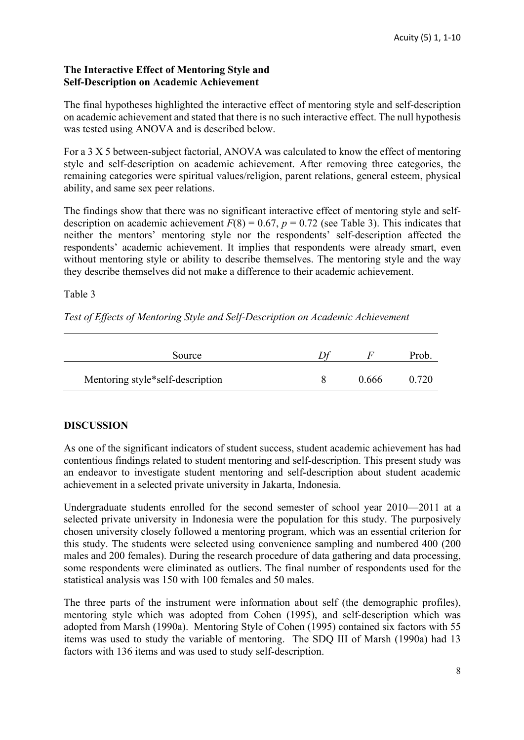## **The Interactive Effect of Mentoring Style and Self-Description on Academic Achievement**

The final hypotheses highlighted the interactive effect of mentoring style and self-description on academic achievement and stated that there is no such interactive effect. The null hypothesis was tested using ANOVA and is described below.

For a 3 X 5 between-subject factorial, ANOVA was calculated to know the effect of mentoring style and self-description on academic achievement. After removing three categories, the remaining categories were spiritual values/religion, parent relations, general esteem, physical ability, and same sex peer relations.

The findings show that there was no significant interactive effect of mentoring style and selfdescription on academic achievement  $F(8) = 0.67$ ,  $p = 0.72$  (see Table 3). This indicates that neither the mentors' mentoring style nor the respondents' self-description affected the respondents' academic achievement. It implies that respondents were already smart, even without mentoring style or ability to describe themselves. The mentoring style and the way they describe themselves did not make a difference to their academic achievement.

Table 3

*Test of Effects of Mentoring Style and Self-Description on Academic Achievement*

| Source                           |       | Prob. |
|----------------------------------|-------|-------|
| Mentoring style*self-description | 0.666 | 0.720 |

## **DISCUSSION**

As one of the significant indicators of student success, student academic achievement has had contentious findings related to student mentoring and self-description. This present study was an endeavor to investigate student mentoring and self-description about student academic achievement in a selected private university in Jakarta, Indonesia.

Undergraduate students enrolled for the second semester of school year 2010—2011 at a selected private university in Indonesia were the population for this study. The purposively chosen university closely followed a mentoring program, which was an essential criterion for this study. The students were selected using convenience sampling and numbered 400 (200 males and 200 females). During the research procedure of data gathering and data processing, some respondents were eliminated as outliers. The final number of respondents used for the statistical analysis was 150 with 100 females and 50 males.

The three parts of the instrument were information about self (the demographic profiles), mentoring style which was adopted from Cohen (1995), and self-description which was adopted from Marsh (1990a). Mentoring Style of Cohen (1995) contained six factors with 55 items was used to study the variable of mentoring. The SDQ III of Marsh (1990a) had 13 factors with 136 items and was used to study self-description.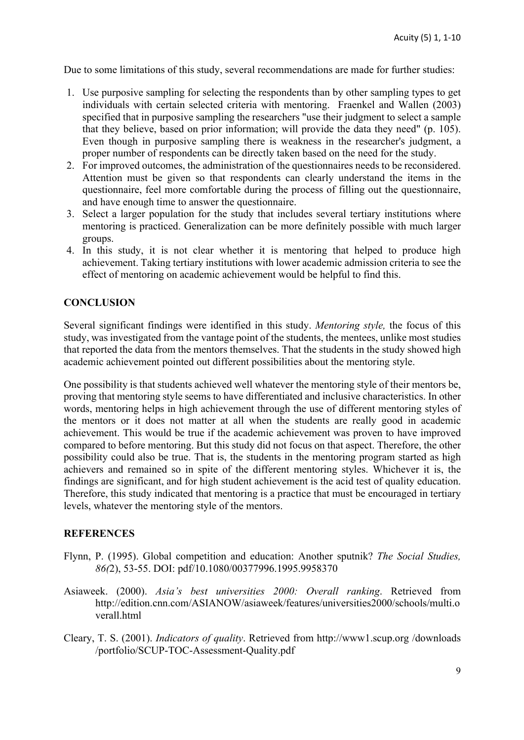Due to some limitations of this study, several recommendations are made for further studies:

- 1. Use purposive sampling for selecting the respondents than by other sampling types to get individuals with certain selected criteria with mentoring. Fraenkel and Wallen (2003) specified that in purposive sampling the researchers "use their judgment to select a sample that they believe, based on prior information; will provide the data they need" (p. 105). Even though in purposive sampling there is weakness in the researcher's judgment, a proper number of respondents can be directly taken based on the need for the study.
- 2. For improved outcomes, the administration of the questionnaires needs to be reconsidered. Attention must be given so that respondents can clearly understand the items in the questionnaire, feel more comfortable during the process of filling out the questionnaire, and have enough time to answer the questionnaire.
- 3. Select a larger population for the study that includes several tertiary institutions where mentoring is practiced. Generalization can be more definitely possible with much larger groups.
- 4. In this study, it is not clear whether it is mentoring that helped to produce high achievement. Taking tertiary institutions with lower academic admission criteria to see the effect of mentoring on academic achievement would be helpful to find this.

## **CONCLUSION**

Several significant findings were identified in this study. *Mentoring style,* the focus of this study, was investigated from the vantage point of the students, the mentees, unlike most studies that reported the data from the mentors themselves. That the students in the study showed high academic achievement pointed out different possibilities about the mentoring style.

One possibility is that students achieved well whatever the mentoring style of their mentors be, proving that mentoring style seems to have differentiated and inclusive characteristics. In other words, mentoring helps in high achievement through the use of different mentoring styles of the mentors or it does not matter at all when the students are really good in academic achievement. This would be true if the academic achievement was proven to have improved compared to before mentoring. But this study did not focus on that aspect. Therefore, the other possibility could also be true. That is, the students in the mentoring program started as high achievers and remained so in spite of the different mentoring styles. Whichever it is, the findings are significant, and for high student achievement is the acid test of quality education. Therefore, this study indicated that mentoring is a practice that must be encouraged in tertiary levels, whatever the mentoring style of the mentors.

#### **REFERENCES**

- Flynn, P. (1995). Global competition and education: Another sputnik? *The Social Studies, 86(*2), 53-55. DOI: pdf/10.1080/00377996.1995.9958370
- Asiaweek. (2000). *Asia's best universities 2000: Overall ranking*. Retrieved from http://edition.cnn.com/ASIANOW/asiaweek/features/universities2000/schools/multi.o verall.html
- Cleary, T. S. (2001). *Indicators of quality*. Retrieved from http://www1.scup.org /downloads /portfolio/SCUP-TOC-Assessment-Quality.pdf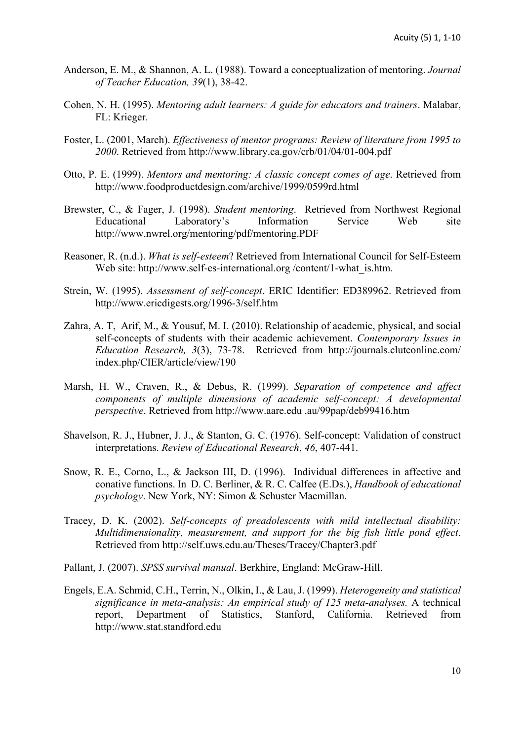- Anderson, E. M., & Shannon, A. L. (1988). Toward a conceptualization of mentoring. *Journal of Teacher Education, 39*(1), 38-42.
- Cohen, N. H. (1995). *Mentoring adult learners: A guide for educators and trainers*. Malabar, FL: Krieger.
- Foster, L. (2001, March). *Effectiveness of mentor programs: Review of literature from 1995 to 2000*. Retrieved from http://www.library.ca.gov/crb/01/04/01-004.pdf
- Otto, P. E. (1999). *Mentors and mentoring: A classic concept comes of age*. Retrieved from http://www.foodproductdesign.com/archive/1999/0599rd.html
- Brewster, C., & Fager, J. (1998). *Student mentoring*. Retrieved from Northwest Regional Educational Laboratory's Information Service Web site http://www.nwrel.org/mentoring/pdf/mentoring.PDF
- Reasoner, R. (n.d.). *What is self-esteem*? Retrieved from International Council for Self-Esteem Web site: http://www.self-es-international.org /content/1-what is.htm.
- Strein, W. (1995). *Assessment of self-concept*. ERIC Identifier: ED389962. Retrieved from http://www.ericdigests.org/1996-3/self.htm
- Zahra, A. T, Arif, M., & Yousuf, M. I. (2010). Relationship of academic, physical, and social self-concepts of students with their academic achievement. *Contemporary Issues in Education Research, 3*(3), 73-78. Retrieved from http://journals.cluteonline.com/ index.php/CIER/article/view/190
- Marsh, H. W., Craven, R., & Debus, R. (1999). *Separation of competence and affect components of multiple dimensions of academic self-concept: A developmental perspective*. Retrieved from http://www.aare.edu .au/99pap/deb99416.htm
- Shavelson, R. J., Hubner, J. J., & Stanton, G. C. (1976). Self-concept: Validation of construct interpretations. *Review of Educational Research*, *46*, 407-441.
- Snow, R. E., Corno, L., & Jackson III, D. (1996). Individual differences in affective and conative functions. In D. C. Berliner, & R. C. Calfee (E.Ds.), *Handbook of educational psychology*. New York, NY: Simon & Schuster Macmillan.
- Tracey, D. K. (2002). *Self-concepts of preadolescents with mild intellectual disability: Multidimensionality, measurement, and support for the big fish little pond effect*. Retrieved from http://self.uws.edu.au/Theses/Tracey/Chapter3.pdf
- Pallant, J. (2007). *SPSS survival manual*. Berkhire, England: McGraw-Hill.
- Engels, E.A. Schmid, C.H., Terrin, N., Olkin, I., & Lau, J. (1999). *Heterogeneity and statistical significance in meta-analysis: An empirical study of 125 meta-analyses.* A technical report, Department of Statistics, Stanford, California. Retrieved from http://www.stat.standford.edu